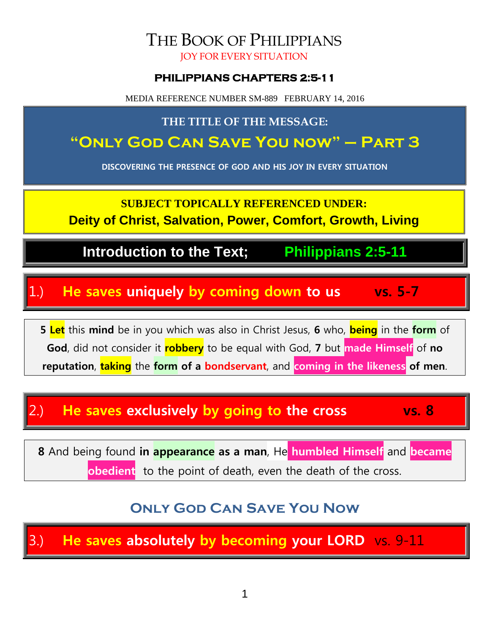### THE BOOK OF PHILIPPIANS JOY FOR EVERY SITUATION

### **PHILIPPIANS CHAPTERS 2:5-11**

MEDIA REFERENCE NUMBER SM-889 FEBRUARY 14, 2016

### **THE TITLE OF THE MESSAGE:**

# **"Only God Can Save You now" – Part 3**

**DISCOVERING THE PRESENCE OF GOD AND HIS JOY IN EVERY SITUATION**

**SUBJECT TOPICALLY REFERENCED UNDER:**

**Deity of Christ, Salvation, Power, Comfort, Growth, Living**

**Introduction to the Text; Philippians 2:5-11**

## 1.) **He saves uniquely by coming down to us vs. 5-7**

**5 Let** this **mind** be in you which was also in Christ Jesus, **6** who, **being** in the **form** of **God**, did not consider it **robbery** to be equal with God, **7** but **made Himself** of **no reputation**, **taking** the **form of a bondservant**, and **coming in the likeness of men**.

## 2.) **He saves exclusively by going to the cross vs. 8**

**8** And being found **in appearance as a man**, He **humbled Himself** and **became** 

**obedient** to the point of death, even the death of the cross.

## **Only God Can Save You Now**

3.) **He saves absolutely by becoming your LORD** vs. 9-11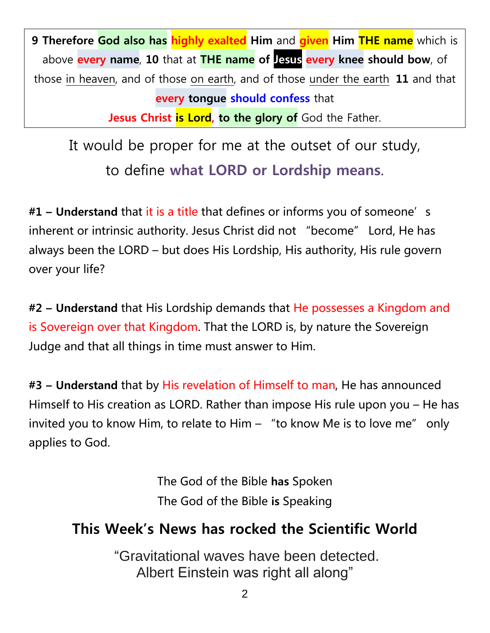**9 Therefore God also has highly exalted Him** and **given Him THE name** which is above **every name**, **10** that at **THE name of Jesus every knee should bow**, of those in heaven, and of those on earth, and of those under the earth, **11** and that **every tongue should confess** that **Jesus Christ is Lord, to the glory of** God the Father.

It would be proper for me at the outset of our study, to define **what LORD or Lordship means**.

**#1 – Understand** that it is a title that defines or informs you of someone's inherent or intrinsic authority. Jesus Christ did not "become" Lord, He has always been the LORD – but does His Lordship, His authority, His rule govern over your life?

**#2 – Understand** that His Lordship demands that He possesses a Kingdom and is Sovereign over that Kingdom. That the LORD is, by nature the Sovereign Judge and that all things in time must answer to Him.

**#3 – Understand** that by His revelation of Himself to man, He has announced Himself to His creation as LORD. Rather than impose His rule upon you – He has invited you to know Him, to relate to Him – "to know Me is to love me" only applies to God.

> The God of the Bible **has** Spoken The God of the Bible **is** Speaking

## **This Week's News has rocked the Scientific World**

"Gravitational waves have been detected. Albert Einstein was right all along"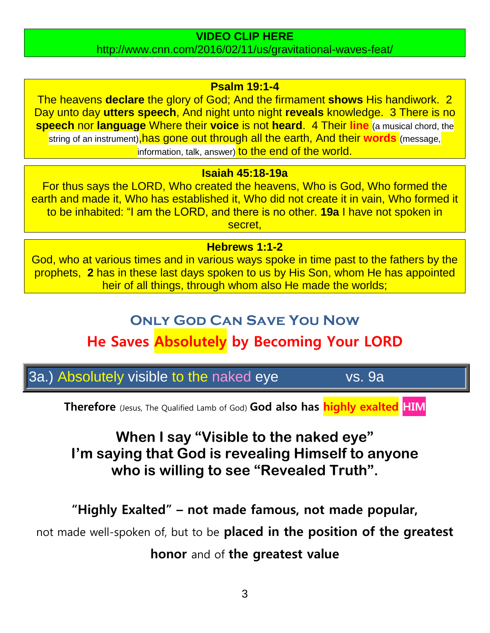### **VIDEO CLIP HERE**

http://www.cnn.com/2016/02/11/us/gravitational-waves-feat/

### **Psalm 19:1-4**

The heavens **declare** the glory of God; And the firmament **shows** His handiwork. 2 Day unto day **utters speech**, And night unto night **reveals** knowledge. 3 There is no **speech** nor **language** Where their **voice** is not **heard**. 4 Their **line** (a musical chord, the string of an instrument), has gone out through all the earth, And their words (message, information, talk, answer) to the end of the world.

#### **Isaiah 45:18-19a**

For thus says the LORD, Who created the heavens, Who is God, Who formed the earth and made it, Who has established it, Who did not create it in vain, Who formed it to be inhabited: "I am the LORD, and there is no other. **19a** I have not spoken in secret,

#### **Hebrews 1:1-2**

God, who at various times and in various ways spoke in time past to the fathers by the prophets, **2** has in these last days spoken to us by His Son, whom He has appointed heir of all things, through whom also He made the worlds;

### **Only God Can Save You Now**

## **He Saves Absolutely by Becoming Your LORD**

3a.) Absolutely visible to the naked eye vs. 9a

**Therefore** (Jesus, The Qualified Lamb of God) **God also has highly exalted HIM**

## **When I say "Visible to the naked eye" I'm saying that God is revealing Himself to anyone who is willing to see "Revealed Truth".**

**"Highly Exalted" – not made famous, not made popular,**

not made well-spoken of, but to be **placed in the position of the greatest**

**honor** and of **the greatest value**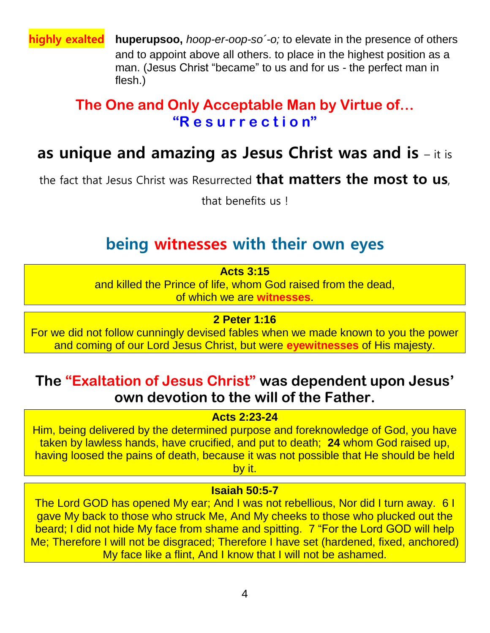**highly exalted huperupsoo,** *hoop-er-oop-so´-o;* to elevate in the presence of others and to appoint above all others. to place in the highest position as a man. (Jesus Christ "became" to us and for us - the perfect man in flesh.)

## **The One and Only Acceptable Man by Virtue of… "R e s u r r e c t i o n"**

# **as unique and amazing as Jesus Christ was and is** – it is

the fact that Jesus Christ was Resurrected **that matters the most to us**,

that benefits us !

## **being witnesses with their own eyes**

**Acts 3:15**

and killed the Prince of life, whom God raised from the dead, of which we are **witnesses**.

**2 Peter 1:16**

For we did not follow cunningly devised fables when we made known to you the power and coming of our Lord Jesus Christ, but were **eyewitnesses** of His majesty.

## **The "Exaltation of Jesus Christ" was dependent upon Jesus' own devotion to the will of the Father.**

**Acts 2:23-24**

Him, being delivered by the determined purpose and foreknowledge of God, you have taken by lawless hands, have crucified, and put to death; **24** whom God raised up, having loosed the pains of death, because it was not possible that He should be held by it.

#### **Isaiah 50:5-7**

The Lord GOD has opened My ear; And I was not rebellious, Nor did I turn away. 6 I gave My back to those who struck Me, And My cheeks to those who plucked out the beard; I did not hide My face from shame and spitting. 7 "For the Lord GOD will help Me; Therefore I will not be disgraced; Therefore I have set (hardened, fixed, anchored) My face like a flint, And I know that I will not be ashamed.